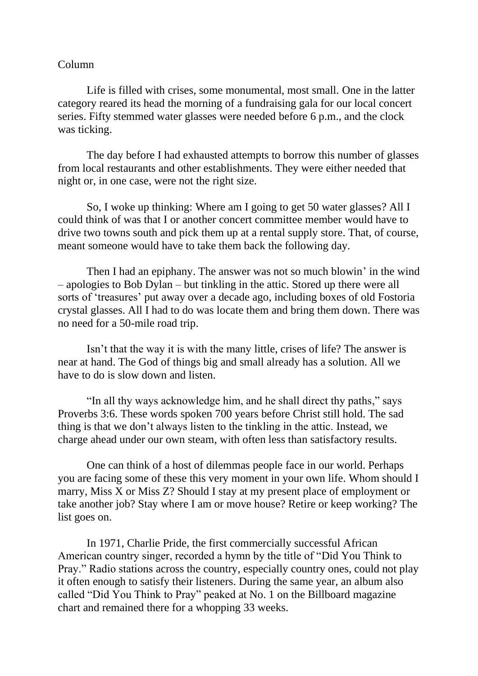## Column

Life is filled with crises, some monumental, most small. One in the latter category reared its head the morning of a fundraising gala for our local concert series. Fifty stemmed water glasses were needed before 6 p.m., and the clock was ticking.

The day before I had exhausted attempts to borrow this number of glasses from local restaurants and other establishments. They were either needed that night or, in one case, were not the right size.

So, I woke up thinking: Where am I going to get 50 water glasses? All I could think of was that I or another concert committee member would have to drive two towns south and pick them up at a rental supply store. That, of course, meant someone would have to take them back the following day.

Then I had an epiphany. The answer was not so much blowin' in the wind – apologies to Bob Dylan – but tinkling in the attic. Stored up there were all sorts of 'treasures' put away over a decade ago, including boxes of old Fostoria crystal glasses. All I had to do was locate them and bring them down. There was no need for a 50-mile road trip.

Isn't that the way it is with the many little, crises of life? The answer is near at hand. The God of things big and small already has a solution. All we have to do is slow down and listen.

"In all thy ways acknowledge him, and he shall direct thy paths," says Proverbs 3:6. These words spoken 700 years before Christ still hold. The sad thing is that we don't always listen to the tinkling in the attic. Instead, we charge ahead under our own steam, with often less than satisfactory results.

One can think of a host of dilemmas people face in our world. Perhaps you are facing some of these this very moment in your own life. Whom should I marry, Miss X or Miss Z? Should I stay at my present place of employment or take another job? Stay where I am or move house? Retire or keep working? The list goes on.

In 1971, Charlie Pride, the first commercially successful African American country singer, recorded a hymn by the title of "Did You Think to Pray." Radio stations across the country, especially country ones, could not play it often enough to satisfy their listeners. During the same year, an album also called "Did You Think to Pray" peaked at No. 1 on the Billboard magazine chart and remained there for a whopping 33 weeks.